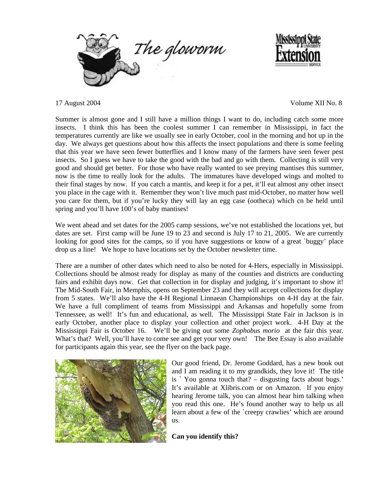



17 August 2004 Volume XII No. 8

Summer is almost gone and I still have a million things I want to do, including catch some more insects. I think this has been the coolest summer I can remember in Mississippi, in fact the temperatures currently are like we usually see in early October, cool in the morning and hot up in the day. We always get questions about how this affects the insect populations and there is some feeling that this year we have seen fewer butterflies and I know many of the farmers have seen fewer pest insects. So I guess we have to take the good with the bad and go with them. Collecting is still very good and should get better. For those who have really wanted to see preying mantises this summer, now is the time to really look for the adults. The immatures have developed wings and molted to their final stages by now. If you catch a mantis, and keep it for a pet, it'll eat almost any other insect you place in the cage with it. Remember they won't live much past mid-October, no matter how well you care for them, but if you're lucky they will lay an egg case (ootheca) which cn be held until spring and you'll have 100's of baby mantises!

We went ahead and set dates for the 2005 camp sessions, we've not established the locations yet, but dates are set. First camp will be June 19 to 23 and second is July 17 to 21, 2005. We are currently looking for good sites for the camps, so if you have suggestions or know of a great `buggy' place drop us a line! We hope to have locations set by the October newsletter time.

There are a number of other dates which need to also be noted for 4-Hers, especially in Mississippi. Collections should be almost ready for display as many of the counties and districts are conducting fairs and exhibit days now. Get that collection in for display and judging, it's important to show it! The Mid-South Fair, in Memphis, opens on September 23 and they will accept collections for display from 5 states. We'll also have the 4-H Regional Linnaean Championships on 4-H day at the fair. We have a full compliment of teams from Mississippi and Arkansas and hopefully some from Tennessee, as well! It's fun and educational, as well. The Mississippi State Fair in Jackson is in early October, another place to display your collection and other project work. 4-H Day at the Mississippi Fair is October 16. We'll be giving out some *Zophobus morio* at the fair this year. What's that? Well, you'll have to come see and get your very own! The Bee Essay is also available for participants again this year, see the flyer on the back page.



Our good friend, Dr. Jerome Goddard, has a new book out and I am reading it to my grandkids, they love it! The title is ` You gonna touch that? – disgusting facts about bugs.' It's available at Xlibris.com or on Amazon. If you enjoy hearing Jerome talk, you can almost hear him talking when you read this one. He's found another way to help us all learn about a few of the `creepy crawlies' which are around us.

**Can you identify this?**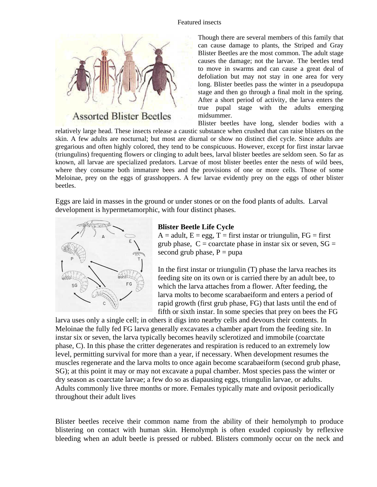## Featured insects



**Assorted Blister Beetles** 

Though there are several members of this family that can cause damage to plants, the Striped and Gray Blister Beetles are the most common. The adult stage causes the damage; not the larvae. The beetles tend to move in swarms and can cause a great deal of defoliation but may not stay in one area for very long. Blister beetles pass the winter in a pseudopupa stage and then go through a final molt in the spring. After a short period of activity, the larva enters the true pupal stage with the adults emerging midsummer.

Blister beetles have long, slender bodies with a relatively large head. These insects release a caustic substance when crushed that can raise blisters on the skin. A few adults are nocturnal; but most are diurnal or show no distinct diel cycle. Since adults are gregarious and often highly colored, they tend to be conspicuous. However, except for first instar larvae (triungulins) frequenting flowers or clinging to adult bees, larval blister beetles are seldom seen. So far as known, all larvae are specialized predators. Larvae of most blister beetles enter the nests of wild bees, where they consume both immature bees and the provisions of one or more cells. Those of some Meloinae, prey on the eggs of grasshoppers. A few larvae evidently prey on the eggs of other blister beetles.

Eggs are laid in masses in the ground or under stones or on the food plants of adults. Larval development is hypermetamorphic, with four distinct phases.



## **Blister Beetle Life Cycle**

 $A =$  adult,  $E =$  egg,  $T =$  first instar or triungulin,  $FG =$  first grub phase,  $C =$  coarctate phase in instar six or seven,  $SG =$ second grub phase,  $P = p$ upa

In the first instar or triungulin (T) phase the larva reaches its feeding site on its own or is carried there by an adult bee, to which the larva attaches from a flower. After feeding, the larva molts to become scarabaeiform and enters a period of rapid growth (first grub phase, FG) that lasts until the end of fifth or sixth instar. In some species that prey on bees the FG

larva uses only a single cell; in others it digs into nearby cells and devours their contents. In Meloinae the fully fed FG larva generally excavates a chamber apart from the feeding site. In instar six or seven, the larva typically becomes heavily sclerotized and immobile (coarctate phase, C). In this phase the critter degenerates and respiration is reduced to an extremely low level, permitting survival for more than a year, if necessary. When development resumes the muscles regenerate and the larva molts to once again become scarabaeiform (second grub phase, SG); at this point it may or may not excavate a pupal chamber. Most species pass the winter or dry season as coarctate larvae; a few do so as diapausing eggs, triungulin larvae, or adults. Adults commonly live three months or more. Females typically mate and oviposit periodically throughout their adult lives

Blister beetles receive their common name from the ability of their hemolymph to produce blistering on contact with human skin. Hemolymph is often exuded copiously by reflexive bleeding when an adult beetle is pressed or rubbed. Blisters commonly occur on the neck and